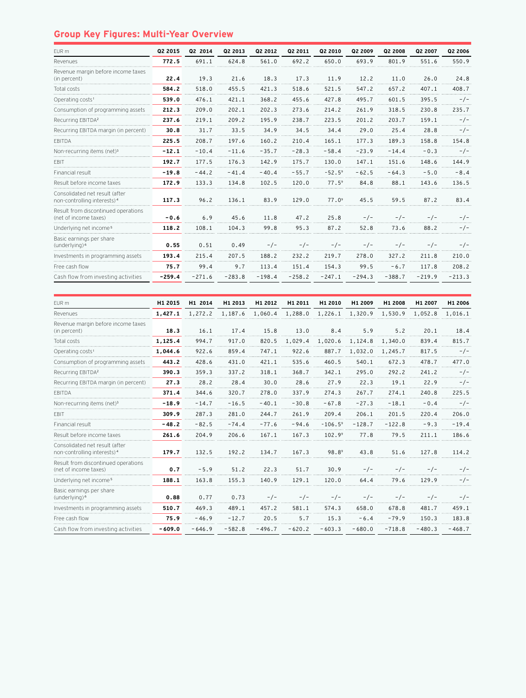## **Group Key Figures: Multi-Year Overview**

| EUR m                                                                     | Q2 2015  | Q2 2014  | Q2 2013  | Q2 2012  | Q2 2011  | Q2 2010           | Q2 2009  | Q2 2008  | Q2 2007  | Q2 2006  |
|---------------------------------------------------------------------------|----------|----------|----------|----------|----------|-------------------|----------|----------|----------|----------|
| Revenues                                                                  | 772.5    | 691.1    | 624.8    | 561.0    | 692.2    | 650.0             | 693.9    | 801.9    | 551.6    | 550.9    |
| Revenue margin before income taxes<br>(in percent)                        | 22.4     | 19.3     | 21.6     | 18.3     | 17.3     | 11.9              | 12.2     | 11.0     | 26.0     | 24.8     |
| Total costs                                                               | 584.2    | 518.0    | 455.5    | 421.3    | 518.6    | 521.5             | 547.2    | 657.2    | 407.1    | 408.7    |
| Operating costs <sup>1</sup>                                              | 539.0    | 476.1    | 421.1    | 368.2    | 455.6    | 427.8             | 495.7    | 601.5    | 395.5    | $-/-$    |
| Consumption of programming assets                                         | 212.3    | 209.0    | 202.1    | 202.3    | 273.6    | 214.2             | 261.9    | 318.5    | 230.8    | 235.7    |
| Recurring EBITDA <sup>2</sup>                                             | 237.6    | 219.1    | 209.2    | 195.9    | 238.7    | 223.5             | 201.2    | 203.7    | 159.1    | $-/-$    |
| Recurring EBITDA margin (in percent)                                      | 30.8     | 31.7     | 33.5     | 34.9     | 34.5     | 34.4              | 29.0     | 25.4     | 28.8     | -/-      |
| <b>FBITDA</b>                                                             | 225.5    | 208.7    | 197.6    | 160.2    | 210.4    | 165.1             | 177.3    | 189.3    | 158.8    | 154.8    |
| Non-recurring items (net) <sup>3</sup>                                    | $-12.1$  | $-10.4$  | $-11.6$  | $-35.7$  | $-28.3$  | $-58.4$           | $-23.9$  | $-14.4$  | $-0.3$   | $-/-$    |
| <b>FBIT</b>                                                               | 192.7    | 177.5    | 176.3    | 142.9    | 175.7    | 130.0             | 147.1    | 151.6    | 148.6    | 144.9    |
| Financial result                                                          | $-19.8$  | $-44.2$  | $-41.4$  | $-40.4$  | $-55.7$  | $-52.5^9$         | $-62.5$  | $-64.3$  | $-5.0$   | $-8.4$   |
| Result before income taxes                                                | 172.9    | 133.3    | 134.8    | 102.5    | 120.0    | 77.5 <sup>9</sup> | 84.8     | 88.1     | 143.6    | 136.5    |
| Consolidated net result (after<br>non-controlling interests) <sup>4</sup> | 117.3    | 96.2     | 136.1    | 83.9     | 129.0    | 77.0 <sup>9</sup> | 45.5     | 59.5     | 87.2     | 83.4     |
| Result from discontinued operations<br>(net of income taxes)              | $-0.6$   | 6.9      | 45.6     | 11.8     | 47.2     | 25.8              | $-/-$    | $-/-$    | $-/-$    | $-/-$    |
| Underlying net income <sup>5</sup>                                        | 118.2    | 108.1    | 104.3    | 99.8     | 95.3     | 87.2              | 52.8     | 73.6     | 88.2     | $-/-$    |
| Basic earnings per share<br>(underlying) <sup>6</sup>                     | 0.55     | 0.51     | 0.49     | $-/-$    | $-/-$    | $-/-$             | $-/-$    | $-/-$    | $-/-$    | $-/-$    |
| Investments in programming assets                                         | 193.4    | 215.4    | 207.5    | 188.2    | 232.2    | 219.7             | 278.0    | 327.2    | 211.8    | 210.0    |
| Free cash flow                                                            | 75.7     | 99.4     | 9.7      | 113.4    | 151.4    | 154.3             | 99.5     | $-6.7$   | 117.8    | 208.2    |
| Cash flow from investing activities                                       | $-259.4$ | $-271.6$ | $-283.8$ | $-198.4$ | $-258.2$ | $-247.1$          | $-294.3$ | $-388.7$ | $-219.9$ | $-213.3$ |

| EUR m                                                                     | H1 2015  | H1 2014  | H1 2013  | H1 2012  | H1 2011  | H1 2010            | H1 2009  | H1 2008  | H1 2007  | H1 2006  |
|---------------------------------------------------------------------------|----------|----------|----------|----------|----------|--------------------|----------|----------|----------|----------|
| Revenues                                                                  | 1,427.1  | 1,272.2  | 1,187.6  | 1,060.4  | 1,288.0  | 1,226.1            | 1,320.9  | 1,530.9  | 1,052.8  | 1,016.1  |
| Revenue margin before income taxes<br>(in percent)                        | 18.3     | 16.1     | 17.4     | 15.8     | 13.0     | 8.4                | 5.9      | 5.2      | 20.1     | 18.4     |
| Total costs                                                               | 1,125.4  | 994.7    | 917.0    | 820.5    | 1,029.4  | 1,020.6            | 1,124.8  | 1,340.0  | 839.4    | 815.7    |
| Operating costs <sup>1</sup>                                              | 1,044.6  | 922.6    | 859.4    | 747.1    | 922.6    | 887.7              | 1,032.0  | 1,245.7  | 817.5    | - / -    |
| Consumption of programming assets                                         | 443.2    | 428.6    | 431.0    | 421.1    | 535.6    | 460.5              | 540.1    | 672.3    | 478.7    | 477.0    |
| Recurring EBITDA <sup>2</sup>                                             | 390.3    | 359.3    | 337.2    | 318.1    | 368.7    | 342.1              | 295.0    | 292.2    | 241.2    | $-/-$    |
| Recurring EBITDA margin (in percent)                                      | 27.3     | 28.2     | 28.4     | 30.0     | 28.6     | 27.9               | 22.3     | 19.1     | 22.9     | $-/-$    |
| <b>EBITDA</b>                                                             | 371.4    | 344.6    | 320.7    | 278.0    | 337.9    | 274.3              | 267.7    | 274.1    | 240.8    | 225.5    |
| Non-recurring items (net) <sup>3</sup>                                    | $-18.9$  | $-14.7$  | $-16.5$  | $-40.1$  | $-30.8$  | $-67.8$            | $-27.3$  | $-18.1$  | $-0.4$   | $-/-$    |
| <b>FBIT</b>                                                               | 309.9    | 287.3    | 281.0    | 244.7    | 261.9    | 209.4              | 206.1    | 201.5    | 220.4    | 206.0    |
| Financial result                                                          | $-48.2$  | $-82.5$  | $-74.4$  | $-77.6$  | $-94.6$  | $-106.59$          | $-128.7$ | $-122.8$ | $-9.3$   | $-19.4$  |
| Result before income taxes                                                | 261.6    | 204.9    | 206.6    | 167.1    | 167.3    | 102.9 <sup>9</sup> | 77.8     | 79.5     | 211.1    | 186.6    |
| Consolidated net result (after<br>non-controlling interests) <sup>4</sup> | 179.7    | 132.5    | 192.2    | 134.7    | 167.3    | 98.8 <sup>9</sup>  | 43.8     | 51.6     | 127.8    | 114.2    |
| Result from discontinued operations<br>(net of income taxes)              | 0.7      | $-5.9$   | 51.2     | 22.3     | 51.7     | 30.9               | $-/-$    | $-/-$    | $-/-$    | $-/-$    |
| Underlying net income <sup>5</sup>                                        | 188.1    | 163.8    | 155.3    | 140.9    | 129.1    | 120.0              | 64.4     | 79.6     | 129.9    | - / -    |
| Basic earnings per share<br>(underlying) <sup>6</sup>                     | 0.88     | 0.77     | 0.73     | $-/-$    | $-/-$    | $-/-$              | $-/-$    | $-/-$    | $-/-$    | $-/-$    |
| Investments in programming assets                                         | 510.7    | 469.3    | 489.1    | 457.2    | 581.1    | 574.3              | 658.0    | 678.8    | 481.7    | 459.1    |
| Free cash flow                                                            | 75.9     | $-46.9$  | $-12.7$  | 20.5     | 5.7      | 15.3               | $-6.4$   | $-79.9$  | 150.3    | 183.8    |
| Cash flow from investing activities                                       | $-609.0$ | $-646.9$ | $-582.8$ | $-496.7$ | $-620.2$ | $-603.3$           | $-680.0$ | $-718.8$ | $-480.3$ | $-468.7$ |